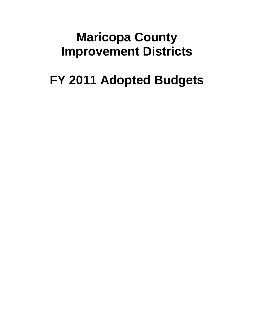## **Maricopa County Improvement Districts**

# **FY 2011 Adopted Budgets**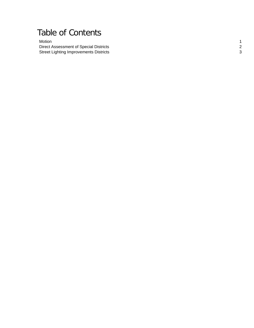### Table of Contents

Motion 1 Direct Assessment of Special Districts 2 Street Lighting Improvements Districts 3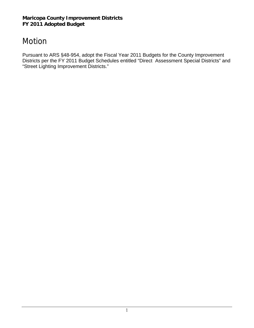### Motion

Pursuant to ARS §48-954, adopt the Fiscal Year 2011 Budgets for the County Improvement Districts per the FY 2011 Budget Schedules entitled "Direct Assessment Special Districts" and "Street Lighting Improvement Districts."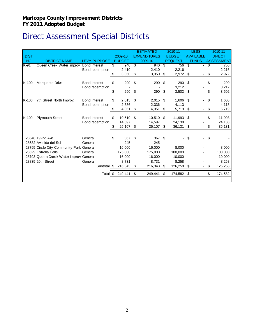## Direct Assessment Special Districts

|         |                                          |                                         |    |               |     | <b>ESTIMATED</b>    |    | 2010-11        |                          | <b>LESS</b>              |    | 2010-11           |
|---------|------------------------------------------|-----------------------------------------|----|---------------|-----|---------------------|----|----------------|--------------------------|--------------------------|----|-------------------|
| DIST.   |                                          |                                         |    | 2009-10       |     | <b>EXPENDITURES</b> |    | <b>BUDGET</b>  |                          | <b>AVAILABLE</b>         |    | <b>DIRECT</b>     |
| NO.     | <b>DISTRICT NAME</b>                     | <b>LEVY PURPOSE</b>                     |    | <b>BUDGET</b> |     | 2009-10             |    | <b>REQUEST</b> |                          | <b>FUNDS</b>             |    | <b>ASSESSMENT</b> |
| $K-91$  | Queen Creek Water Improv Bond Interest   |                                         | \$ | 940           | S   | 940                 | s, | 756            | $\overline{\mathcal{S}}$ | $\blacksquare$           | S  | 756               |
|         |                                          | Bond redemption                         |    | 2,410         |     | 2,410               |    | 2,216          |                          |                          |    | 2,216             |
|         |                                          |                                         | \$ | 3,350         | \$  | 3,350               | s, | 2,972          | \$                       | $\overline{\phantom{0}}$ | s, | 2,972             |
|         |                                          |                                         | \$ | 290           | -\$ |                     |    | 290            |                          |                          |    | 290               |
| $K-100$ | Marquerite Drive                         | <b>Bond Interest</b><br>Bond redemption |    |               |     | 290                 | \$ | 3,212          | \$                       |                          | \$ | 3,212             |
|         |                                          |                                         | \$ | 290           | S,  | 290                 | \$ | 3,502          | \$                       | $\overline{\phantom{a}}$ | \$ | 3,502             |
|         |                                          |                                         |    |               |     |                     |    |                |                          |                          |    |                   |
| K-106   | 7th Street North Improv.                 | <b>Bond Interest</b>                    | \$ | 2,015         | \$  | 2,015               | \$ | 1,606          | \$                       |                          | \$ | 1,606             |
|         |                                          | Bond redemption                         |    | 2,336         |     | 2,336               |    | 4,113          |                          |                          |    | 4,113             |
|         |                                          |                                         | \$ | 4,351         | \$  | 4,351               | \$ | 5,719          | \$                       | $\overline{\phantom{0}}$ | s, | 5,719             |
|         |                                          |                                         |    |               |     |                     |    |                |                          |                          |    |                   |
| K-109   | <b>Plymouth Street</b>                   | <b>Bond Interest</b>                    | \$ | 10.510        | \$  | 10.510              | \$ | 11.993         | \$                       |                          | \$ | 11,993            |
|         |                                          | Bond redemption                         |    | 14,597        |     | 14,597              |    | 24,138         |                          |                          |    | 24,138            |
|         |                                          |                                         | £. | 25,107        | \$  | 25,107              | \$ | 36,131         | \$                       | $\blacksquare$           | \$ | 36,131            |
|         |                                          |                                         |    |               |     |                     |    |                |                          |                          |    |                   |
|         | 28548 192nd Ave.                         | General                                 | \$ | 367           | \$  | 367                 | \$ |                | \$                       |                          | \$ |                   |
|         | 28532 Avenida del Sol                    | General                                 |    | 245           |     | 245                 |    |                |                          |                          |    |                   |
|         | 28795 Circle City Community Park General |                                         |    | 16.000        |     | 16,000              |    | 8,000          |                          |                          |    | 8,000             |
|         | 28529 Estrella Dells                     | General                                 |    | 175,000       |     | 175,000             |    | 100,000        |                          |                          |    | 100,000           |
|         | 28793 Queen Creek Water Improv General   |                                         |    | 16.000        |     | 16.000              |    | 10.000         |                          |                          |    | 10,000            |
|         | 28835 20th Street                        | General                                 |    | 8,731         |     | 8,731               |    | 8,258          |                          |                          |    | 8,258             |
|         |                                          | Subtotal \$                             |    | 216,343       | \$  | 216,343             | \$ | 126,258        | \$                       |                          | \$ | 126,258           |
|         |                                          | Total \$                                |    | 249,441       | \$  | 249,441             | \$ | 174,582        | \$                       |                          | \$ | 174,582           |
|         |                                          |                                         |    |               |     |                     |    |                |                          |                          |    |                   |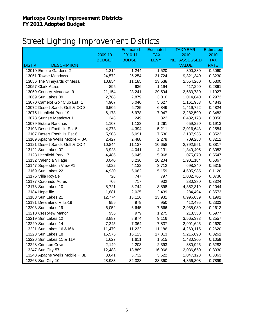### Street Lighting Improvement Districts

|                                    |               | <b>Estimated</b> | <b>Estimated</b> | <b>TAX YEAR</b>     | <b>Estimated</b> |
|------------------------------------|---------------|------------------|------------------|---------------------|------------------|
|                                    | 2009-10       | 2010-11          | <b>TAX</b>       | 2010                | 2010             |
|                                    | <b>BUDGET</b> | <b>BUDGET</b>    | <b>LEVY</b>      | <b>NET ASSESSED</b> | <b>TAX</b>       |
| <b>DIST#</b><br><b>DESCRIPTION</b> |               |                  |                  | <b>VALUE</b>        | <b>RATE</b>      |
| 13010 Empire Gardens 2             | 1,214         | 1,244            | 1,520            | 300,380             | 0.5060           |
| 13051 Towne Meadows                | 24,572        | 25,254           | 31,724           | 9,821,340           | 0.3230           |
| 13056 The Vineyards of Mesa        | 10,854        | 11,185           | 13,538           | 2,554,260           | 0.5300           |
| 13057 Clark Acres                  | 895           | 936              | 1,194            | 417,290             | 0.2861           |
| 13059 Country Meadows 9            | 21,154        | 23,241           | 29,594           | 2,683,730           | 1.1027           |
| 13069 Sun Lakes 09                 | 2,788         | 2,879            | 3,016            | 1,014,840           | 0.2972           |
| 13070 Camelot Golf Club Est. 1     | 4,907         | 5,040            | 5,627            | 1,161,953           | 0.4843           |
| 13072 Desert Sands Golf & CC 3     | 6,506         | 6,725            | 6,849            | 1,419,722           | 0.4824           |
| 13075 Litchfield Park 19           | 6,178         | 6,978            | 7,947            | 2,282,590           | 0.3482           |
| 13078 Sunrise Meadows 1            | 243           | 249              | 323              | 6,432,178           | 0.0050           |
| 13079 Estate Ranchos               | 1,103         | 1,133            | 1,261            | 659,220             | 0.1913           |
| 13103 Desert Foothills Est 5       | 4,273         | 4,394            | 5,211            | 2,016,643           | 0.2584           |
| 13107 Desert Foothills Est 6       | 5,908         | 6,091            | 7,530            | 2,137,935           | 0.3522           |
| 13109 Apache Wells Mobile P 3A     | 2,427         | 2,488            | 2,278            | 709,288             | 0.3212           |
| 13121 Desert Sands Golf & CC 4     | 10,844        | 11,137           | 10,658           | 2,792,551           | 0.3817           |
| 13122 Sun Lakes 07                 | 3,928         | 4,041            | 4,131            | 1,340,405           | 0.3082           |
| 13128 Litchfield Park 17           | 4,486         | 5,045            | 5,968            | 1,075,870           | 0.5547           |
| 13132 Valencia Village             | 8,040         | 8,236            | 10,204           | 1,901,184           | 0.5367           |
| 13147 Superstition View #1         | 4,022         | 4,132            | 3,712            | 698,340             | 0.5315           |
| 13169 Sun Lakes 22                 | 4,930         | 5,062            | 5,159            | 4,605,985           | 0.1120           |
| 13176 Villa Royale                 | 728           | 747              | 797              | 1,082,705           | 0.0736           |
| 13177 Coronado Acres               | 705           | 717              | 932              | 280,380             | 0.3324           |
| 13178 Sun Lakes 10                 | 8,721         | 8,744            | 8,898            | 4,352,319           | 0.2044           |
| 13184 Hopeville                    | 1,881         | 2,025            | 2,439            | 284,494             | 0.8573           |
| 13188 Sun Lakes 21                 | 12,774        | 13,116           | 13,931           | 6,996,639           | 0.1991           |
| 13191 Dreamland Villa-19           | 955           | 979              | 950              | 412,495             | 0.2303           |
| 13203 Sun Lakes 19                 | 6,052         | 6,645            | 7,666            | 2,935,080           | 0.2612           |
| 13210 Crestview Manor              | 955           | 979              | 1,275            | 213,330             | 0.5977           |
| 13219 Sun Lakes 12                 | 8,887         | 8,974            | 9,116            | 3,565,333           | 0.2557           |
| 13220 Sun Lakes 14                 | 7,245         | 7,364            | 7,837            | 2,991,645           | 0.2620           |
| 13221 Sun Lakes 16 & 16A           | 11,479        | 11,232           | 11,186           | 4,269,115           | 0.2620           |
| 13223 Sun Lakes 18                 | 15,575        | 16,123           | 17,013           | 5,216,890           | 0.3261           |
| 13226 Sun Lakes 11 & 11A           | 1,627         | 1,611            | 1,515            | 1,430,305           | 0.1059           |
| 13228 Crimson Cove                 | 2,149         | 2,203            | 2,393            | 380,925             | 0.6282           |
| 13247 Sun City 57                  | 12,483        | 13,889           | 16,966           | 2,036,650           | 0.8330           |
| 13248 Apache Wells Mobile P 3B     | 3,641         | 3,732            | 3,522            | 1,047,128           | 0.3363           |
| 13263 Sun City 10                  | 28,983        | 32,338           | 38,360           | 4,856,308           | 0.7899           |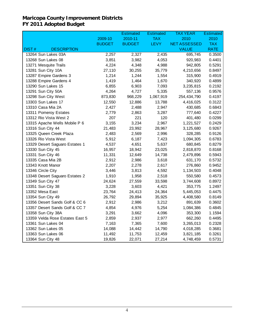|                                 |               | <b>Estimated</b> | <b>Estimated</b> | <b>TAX YEAR</b>     | <b>Estimated</b> |
|---------------------------------|---------------|------------------|------------------|---------------------|------------------|
|                                 | 2009-10       | 2010-11          | <b>TAX</b>       | 2010                | 2010             |
|                                 | <b>BUDGET</b> | <b>BUDGET</b>    | <b>LEVY</b>      | <b>NET ASSESSED</b> | <b>TAX</b>       |
| <b>DESCRIPTION</b><br>DIST#     |               |                  |                  | <b>VALUE</b>        | <b>RATE</b>      |
| 13264 Sun Lakes 03A             | 2,257         | 2,327            | 2,435            | 695,745             | 0.3500           |
| 13268 Sun Lakes 08              | 3,851         | 3,982            | 4,053            | 920,983             | 0.4401           |
| 13271 Mesquite Trails           | 4,224         | 4,348            | 4,988            | 942,805             | 0.5291           |
| 13281 Sun City 10A              | 27,110        | 30,255           | 35,779           | 4,210,656           | 0.8497           |
| 13287 Empire Gardens 3          | 1,214         | 1,244            | 1,554            | 315,900             | 0.4919           |
| 13288 Empire Gardens 4          | 1,419         | 1,464            | 1,670            | 340,920             | 0.4899           |
| 13290 Sun Lakes 15              | 6,855         | 6,903            | 7,093            | 3,235,815           | 0.2192           |
| 13291 Sun City 50A              | 4,264         | 4,727            | 5,335            | 557,136             | 0.9576           |
| 13298 Sun City West             | 873,830       | 968,229          | 1,067,919        | 254,434,790         | 0.4197           |
| 13303 Sun Lakes 17              | 12,550        | 12,886           | 13,788           | 4,416,025           | 0.3122           |
| 13310 Casa Mia 2A               | 2,427         | 2,488            | 2,947            | 430,685             | 0.6843           |
| 13311 Pomeroy Estates           | 2,779         | 2,863            | 3,287            | 777,640             | 0.4227           |
| 13312 Rio Vista West 2          | 207           | 221              | 120              | 401,480             | 0.0299           |
| 13315 Apache Wells Mobile P 6   | 3,155         | 3,234            | 2,967            | 1,221,527           | 0.2429           |
| 13316 Sun City 44               | 21,483        | 23,992           | 28,967           | 3,125,680           | 0.9267           |
| 13325 Queen Creek Plaza         | 2,483         | 2,569            | 2,996            | 328,285             | 0.9126           |
| 13326 Rio Vista West            | 5,912         | 6,187            | 7,423            | 1,094,305           | 0.6783           |
| 13329 Desert Saguaro Estates 1  | 4,537         | 4,651            | 5,637            | 680,845             | 0.8279           |
| 13330 Sun City 45               | 16,957        | 18,942           | 23,025           | 2,818,870           | 0.8168           |
| 13331 Sun City 46               | 11,331        | 12,649           | 14,738           | 2,479,896           | 0.5943           |
| 13335 Casa Mia 2B               | 2,912         | 2,986            | 3,618            | 631,170             | 0.5732           |
| 13343 Knott Manor               | 2,207         | 2,278            | 2,617            | 276,860             | 0.9452           |
| 13346 Circle City               | 3,446         | 3,813            | 4,592            | 1,134,503           | 0.4048           |
| 13348 Desert Saguaro Estates 2  | 1,910         | 1,958            | 2,518            | 550,580             | 0.4573           |
| 13349 Sun City 47               | 24,624        | 27,559           | 33,598           | 3,744,608           | 0.8972           |
| 13351 Sun City 38               | 3,228         | 3,603            | 4,421            | 353,775             | 1.2497           |
| 13352 Mesa East                 | 23,764        | 24,413           | 24,364           | 5,445,053           | 0.4475           |
| 13354 Sun City 49               | 26,792        | 29,894           | 35,925           | 4,408,580           | 0.8149           |
| 13356 Desert Sands Golf & CC 6  | 2,912         | 2,986            | 3,212            | 891,639             | 0.3602           |
| 13357 Desert Sands Golf & CC 7  | 4,854         | 4,976            | 5,254            | 1,084,386           | 0.4845           |
| 13358 Sun City 38A              | 3,291         | 3,662            | 4,096            | 353,300             | 1.1594           |
| 13359 Velda Rose Estates East 5 | 2,859         | 2,937            | 2,977            | 662,260             | 0.4495           |
| 13361 Sun Lakes 04              | 7,163         | 7,365            | 7,600            | 3,265,013           | 0.2328           |
| 13362 Sun Lakes 05              | 14,088        | 14,442           | 14,790           | 4,018,285           | 0.3681           |
| 13363 Sun Lakes 06              | 11,492        | 11,753           | 12,459           | 3,821,185           | 0.3261           |
| 13364 Sun City 48               | 19,826        | 22,071           | 27,214           | 4,748,459           | 0.5731           |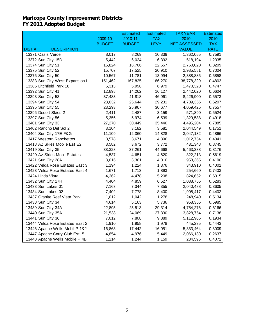|                                    |               | <b>Estimated</b> | <b>Estimated</b> | <b>TAX YEAR</b>     | <b>Estimated</b> |
|------------------------------------|---------------|------------------|------------------|---------------------|------------------|
|                                    | 2009-10       | 2010-11          | <b>TAX</b>       | 2010                | 2010             |
|                                    | <b>BUDGET</b> | <b>BUDGET</b>    | <b>LEVY</b>      | <b>NET ASSESSED</b> | <b>TAX</b>       |
| <b>DESCRIPTION</b><br><b>DIST#</b> |               |                  |                  | <b>VALUE</b>        | <b>RATE</b>      |
| 13371 Oasis Verde                  | 8,017         | 8,269            | 10,339           | 1,362,055           | 0.7591           |
| 13372 Sun City 15D                 | 5,442         | 6,024            | 6,392            | 518,194             | 1.2335           |
| 13374 Sun City 51                  | 16,824        | 18,766           | 22,657           | 2,760,020           | 0.8209           |
| 13375 Sun City 52                  | 15,707        | 17,525           | 20,910           | 2,985,581           | 0.7004           |
| 13376 Sun City 50                  | 10,567        | 11,781           | 13,994           | 2,388,885           | 0.5858           |
| 13383 Sun City West Expansion I    | 151,462       | 167,825          | 186,270          | 38,778,329          | 0.4803           |
| 13386 Litchfield Park 18           | 5,313         | 5,998            | 6,979            | 1,470,320           | 0.4747           |
| 13392 Sun City 41                  | 12,898        | 14,262           | 16,127           | 2,442,020           | 0.6604           |
| 13393 Sun City 53                  | 37,483        | 41,818           | 46,961           | 8,426,900           | 0.5573           |
| 13394 Sun City 54                  | 23,032        | 25,644           | 29,231           | 4,709,356           | 0.6207           |
| 13395 Sun City 55                  | 23,293        | 25,967           | 30,677           | 4,059,425           | 0.7557           |
| 13396 Desert Skies 2               | 2,411         | 2,487            | 3,159            | 571,890             | 0.5524           |
| 13397 Sun City 56                  | 5,356         | 5,974            | 6,539            | 1,329,588           | 0.4918           |
| 13401 Sun City 33                  | 27,270        | 30,449           | 35,446           | 4,495,204           | 0.7885           |
| 13402 Rancho Del Sol 2             | 3,104         | 3,182            | 3,581            | 2,044,549           | 0.1751           |
| 13404 Sun City 17E F&G             | 11,109        | 12,360           | 14,828           | 3,047,182           | 0.4866           |
| 13417 Western Ranchettes           | 3,578         | 3,671            | 4,396            | 1,012,754           | 0.4341           |
| 13418 AZ Skies Mobile Est E2       | 3,582         | 3,672            | 3,772            | 431,348             | 0.8745           |
| 13419 Sun City 35                  | 33,328        | 37,261           | 44,668           | 5,463,388           | 0.8176           |
| 13420 Az Skies Mobil Estates       | 4,537         | 4,651            | 4,620            | 822,213             | 0.5619           |
| 13421 Sun City 28A                 | 3,016         | 3,361            | 4,016            | 958,365             | 0.4190           |
| 13422 Velda Rose Estates East 3    | 1,194         | 1,224            | 1,376            | 343,910             | 0.4001           |
| 13423 Velda Rose Estates East 4    | 1,671         | 1,713            | 1,893            | 254,660             | 0.7433           |
| 13424 Linda Vista                  | 4,362         | 4,478            | 5,208            | 824,652             | 0.6315           |
| 13432 Sun City 17H                 | 4,404         | 4,859            | 6,527            | 1,038,755           | 0.6283           |
| 13433 Sun Lakes 01                 | 7,163         | 7,344            | 7,355            | 2,040,488           | 0.3605           |
| 13434 Sun Lakes 02                 | 7,402         | 7,778            | 8,400            | 1,908,417           | 0.4402           |
| 13437 Granite Reef Vista Park      | 1,012         | 1,042            | 1,278            | 248,940             | 0.5134           |
| 13438 Sun City 34                  | 4,614         | 5,163            | 5,736            | 958,355             | 0.5985           |
| 13439 Sun City 34A                 | 22,895        | 25,513           | 29,314           | 4,754,276           | 0.6166           |
| 13440 Sun City 35A                 | 21,538        | 24,069           | 27,330           | 3,828,754           | 0.7138           |
| 13441 Sun City 36                  | 7,012         | 7,808            | 9,889            | 5,112,986           | 0.1934           |
| 13444 Velda Rose Estates East 2    | 1,910         | 1,958            | 1,978            | 445,235             | 0.4443           |
| 13446 Apache Wells Mobil P 1&2     | 16,863        | 17,442           | 16,051           | 5,333,464           | 0.3009           |
| 13447 Apache Cntry Club Est. 5     | 4,854         | 4,976            | 5,449            | 2,066,130           | 0.2637           |
| 13448 Apache Wells Mobile P 4B     | 1,214         | 1,244            | 1,159            | 284,595             | 0.4072           |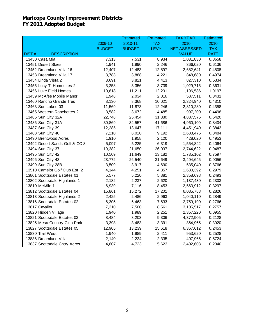|                                    |               | <b>Estimated</b> | <b>Estimated</b> | <b>TAX YEAR</b>     | <b>Estimated</b> |
|------------------------------------|---------------|------------------|------------------|---------------------|------------------|
|                                    | 2009-10       | 2010-11          | <b>TAX</b>       | 2010                | 2010             |
|                                    | <b>BUDGET</b> | <b>BUDGET</b>    | <b>LEVY</b>      | <b>NET ASSESSED</b> | <b>TAX</b>       |
| <b>DIST#</b><br><b>DESCRIPTION</b> |               |                  |                  | <b>VALUE</b>        | <b>RATE</b>      |
| 13450 Casa Mia                     | 7,313         | 7,531            | 8,934            | 1,031,830           | 0.8658           |
| 13451 Desert Skies                 | 1,941         | 1,990            | 2,246            | 366,020             | 0.6136           |
| 13452 Dreamland Villa 16           | 12,407        | 12,483           | 12,897           | 2,682,641           | 0.4808           |
| 13453 Dreamland Villa 17           | 3,783         | 3,888            | 4,221            | 848,680             | 0.4974           |
| 13454 Linda Vista 2                | 3,691         | 3,821            | 4,413            | 827,310             | 0.5334           |
| 13455 Lucy T. Homesites 2          | 3,258         | 3,356            | 3,739            | 1,029,715           | 0.3631           |
| 13456 Luke Field Homes             | 10,618        | 11,211           | 12,201           | 1,196,586           | 1.0197           |
| 13459 McAfee Mobile Manor          | 1,948         | 2,034            | 2,016            | 587,511             | 0.3431           |
| 13460 Rancho Grande Tres           | 8,130         | 8,368            | 10,021           | 2,324,940           | 0.4310           |
| 13463 Sun Lakes 03                 | 11,569        | 11,873           | 12,246           | 2,810,280           | 0.4358           |
| 13465 Western Ranchettes 2         | 3,582         | 3,672            | 4,485            | 997,200             | 0.4498           |
| 13485 Sun City 32A                 | 22,748        | 25,454           | 31,380           | 4,887,575           | 0.6420           |
| 13486 Sun City 31A                 | 30,869        | 34,557           | 41,686           | 4,960,109           | 0.8404           |
| 13487 Sun City 39                  | 12,285        | 13,647           | 17,111           | 4,451,940           | 0.3843           |
| 13488 Sun City 40                  | 7,210         | 8,010            | 9,192            | 2,638,475           | 0.3484           |
| 13490 Brentwood Acres              | 1,910         | 1,958            | 2,120            | 428,020             | 0.4953           |
| 13492 Desert Sands Golf & CC 8     | 5,097         | 5,225            | 6,319            | 1,554,842           | 0.4064           |
| 13494 Sun City 37                  | 19,382        | 21,650           | 26,037           | 2,744,622           | 0.9487           |
| 13495 Sun City 42                  | 10,509        | 11,649           | 13,182           | 1,735,102           | 0.7597           |
| 13496 Sun City 43                  | 23,772        | 26,540           | 31,649           | 3,494,645           | 0.9056           |
| 13499 Sun City 28B                 | 3,509         | 3,917            | 4,690            | 535,040             | 0.8766           |
| 13510 Camelot Golf Club Est. 2     | 4,144         | 4,251            | 4,857            | 1,630,392           | 0.2979           |
| 13801 Scottsdale Estates 01        | 5,577         | 5,220            | 5,881            | 2,358,698           | 0.2493           |
| 13802 Scottsdale Highlands 1       | 2,182         | 2,237            | 2,620            | 1,137,430           | 0.2303           |
| 13810 Melville 1                   | 6,939         | 7,116            | 8,453            | 2,563,912           | 0.3297           |
| 13812 Scottsdale Estates 04        | 15,861        | 15,272           | 17,201           | 6,085,788           | 0.2826           |
| 13813 Scottsdale Highlands 2       | 2,425         | 2,486            | 2,963            | 1,040,110           | 0.2849           |
| 13816 Scottsdale Estates 02        | 6,305         | 6,463            | 7,633            | 2,759,190           | 0.2766           |
| 13817 Cavalier                     | 7,310         | 7,500            | 8,561            | 3,105,517           | 0.2757           |
| 13820 Hidden Village               | 1,940         | 1,989            | 2,251            | 2,357,220           | 0.0955           |
| 13821 Scottsdale Estates 03        | 8,484         | 8,203            | 9,306            | 4,372,905           | 0.2128           |
| 13825 Mesa Country Club Park       | 3,398         | 3,483            | 3,391            | 864,965             | 0.3920           |
| 13827 Scottsdale Estates 05        | 12,905        | 13,239           | 15,618           | 6,367,612           | 0.2453           |
| 13830 Trail West                   | 1,940         | 1,989            | 2,411            | 953,620             | 0.2528           |
| 13836 Dreamland Villa              | 2,140         | 2,224            | 2,335            | 407,965             | 0.5724           |
| 13837 Scottsdale Cntry Acres       | 4,607         | 4,723            | 5,623            | 2,402,603           | 0.2340           |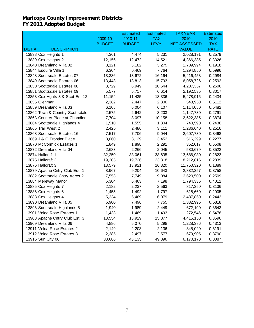|                                    |               | <b>Estimated</b> | <b>Estimated</b> | <b>TAX YEAR</b>     | <b>Estimated</b> |
|------------------------------------|---------------|------------------|------------------|---------------------|------------------|
|                                    | 2009-10       | 2010-11          | <b>TAX</b>       | 2010                | 2010             |
|                                    | <b>BUDGET</b> | <b>BUDGET</b>    | <b>LEVY</b>      | <b>NET ASSESSED</b> | <b>TAX</b>       |
| <b>DIST#</b><br><b>DESCRIPTION</b> |               |                  |                  | <b>VALUE</b>        | <b>RATE</b>      |
| 13838 Cox Heights 1                | 4,361         | 4,474            | 5,231            | 2,028,191           | 0.2579           |
| 13839 Cox Heights 2                | 12,156        | 12,472           | 14,521           | 4,366,385           | 0.3326           |
| 13840 Dreamland Villa 02           | 3,121         | 3,182            | 3,279            | 1,709,994           | 0.1918           |
| 13844 Esquire Villa 1              | 6,304         | 6,469            | 7,764            | 1,294,850           | 0.5996           |
| 13848 Scottsdale Estates 07        | 13,336        | 13,672           | 16,164           | 5,416,453           | 0.2984           |
| 13849 Scottsdale Estates 06        | 13,443        | 13,813           | 15,703           | 6,058,726           | 0.2592           |
| 13850 Scottsdale Estates 08        | 8,729         | 8,949            | 10,544           | 4,207,357           | 0.2506           |
| 13851 Scottsdale Estates 09        | 5,577         | 5,717            | 6,614            | 2,192,535           | 0.3017           |
| 13853 Cox Hghts 3 & Scot Est 12    | 11,154        | 11,435           | 13,336           | 5,478,915           | 0.2434           |
| 13855 Glenmar                      | 2,382         | 2,447            | 2,806            | 548,950             | 0.5112           |
| 13859 Dreamland Villa 03           | 6,108         | 6,004            | 6,107            | 1,114,080           | 0.5482           |
| 13862 Town & Country Scottsdale    | 2,575         | 2,642            | 3,203            | 1,147,730           | 0.2791           |
| 13863 Country Place at Chandler    | 7,704         | 8,097            | 10,158           | 2,622,385           | 0.3874           |
| 13864 Scottsdale Highlands 4       | 1,510         | 1,555            | 1,804            | 740,590             | 0.2436           |
| 13865 Trail West 2                 | 2,425         | 2,486            | 3,111            | 1,236,640           | 0.2516           |
| 13868 Scottsdale Estates 16        | 7,517         | 7,706            | 9,044            | 2,607,730           | 0.3468           |
| 13869 J & O Frontier Place         | 3,060         | 3,139            | 3,453            | 1,516,299           | 0.2277           |
| 13870 McCormick Estates 1          | 1,849         | 1,898            | 2,291            | 352,017             | 0.6508           |
| 13872 Dreamland Villa 04           | 2,683         | 2,266            | 2,045            | 580,679             | 0.3522           |
| 13874 Hallcraft 1                  | 32,250        | 33,061           | 38,635           | 13,686,930          | 0.2823           |
| 13875 Hallcraft 2                  | 19,205        | 19,726           | 23,318           | 8,212,816           | 0.2839           |
| 13876 Hallcraft 3                  | 13,579        | 13,921           | 16,320           | 11,750,320          | 0.1389           |
| 13879 Apache Cntry Club Est. 1     | 8,967         | 9,204            | 10,643           | 2,832,357           | 0.3758           |
| 13882 Scottsdale Cntry Acres 2     | 7,553         | 7,749            | 9,084            | 3,620,500           | 0.2509           |
| 13884 Mereway Manor                | 6,304         | 6,463            | 7,198            | 1,794,336           | 0.4012           |
| 13885 Cox Heights 7                | 2,182         | 2,237            | 2,563            | 817,350             | 0.3136           |
| 13886 Cox Heights 6                | 1,455         | 1,492            | 1,797            | 618,660             | 0.2905           |
| 13888 Cox Heights 4                | 5,334         | 5,469            | 6,079            | 2,487,860           | 0.2443           |
| 13890 Dreamland Villa 05           | 6,900         | 7,496            | 7,755            | 1,332,995           | 0.5818           |
| 13896 Scottsdale Highlands 5       | 1,940         | 1,989            | 2,449            | 672,190             | 0.3643           |
| 13901 Velda Rose Estates 1         | 1,433         | 1,469            | 1,493            | 272,546             | 0.5478           |
| 13908 Apache Cntry Club Est. 3     | 13,554        | 13,929           | 15,877           | 4,415,150           | 0.3596           |
| 13909 Dreamland Villa 06           | 4,886         | 5,070            | 5,298            | 1,228,386           | 0.4313           |
| 13911 Velda Rose Estates 2         | 2,149         | 2,203            | 2,136            | 345,020             | 0.6191           |
| 13912 Velda Rose Estates 3         | 2,385         | 2,497            | 2,577            | 679,905             | 0.3790           |
| 13916 Sun City 06                  | 38,686        | 43,135           | 49,896           | 6,170,170           | 0.8087           |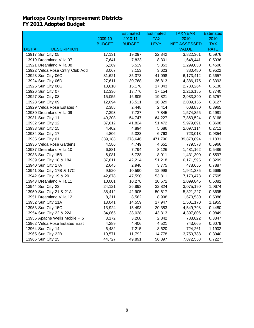|                                 |               | <b>Estimated</b> | <b>Estimated</b> | <b>TAX YEAR</b>     | <b>Estimated</b> |
|---------------------------------|---------------|------------------|------------------|---------------------|------------------|
|                                 | 2009-10       | 2010-11          | <b>TAX</b>       | 2010                | 2010             |
|                                 | <b>BUDGET</b> | <b>BUDGET</b>    | <b>LEVY</b>      | <b>NET ASSESSED</b> | <b>TAX</b>       |
| <b>DESCRIPTION</b><br>DIST#     |               |                  |                  | <b>VALUE</b>        | <b>RATE</b>      |
| 13917 Sun City 05               | 17,131        | 19,097           | 22,842           | 3,822,361           | 0.5976           |
| 13919 Dreamland Villa 07        | 7,641         | 7,833            | 8,301            | 1,648,441           | 0.5036           |
| 13921 Dreamland Villa 08        | 5,269         | 5,519            | 5,853            | 1,299,030           | 0.4506           |
| 13922 Velda Rose Cntry Club Add | 3,067         | 3,153            | 3,623            | 380,480             | 0.9522           |
| 13923 Sun City 06C              | 31,621        | 35,373           | 41,098           | 6,173,412           | 0.6657           |
| 13924 Sun City 06D              | 27,611        | 30,768           | 36,813           | 4,386,175           | 0.8393           |
| 13925 Sun City 06G              | 13,610        | 15,178           | 17,043           | 2,780,264           | 0.6130           |
| 13926 Sun City 07               | 12,336        | 13,776           | 17,154           | 2,216,185           | 0.7740           |
| 13927 Sun City 08               | 15,055        | 16,805           | 19,821           | 2,933,390           | 0.6757           |
| 13928 Sun City 09               | 12,094        | 13,511           | 16,329           | 2,009,156           | 0.8127           |
| 13929 Velda Rose Estates 4      | 2,388         | 2,448            | 2,414            | 608,830             | 0.3965           |
| 13930 Dreamland Villa 09        | 7,393         | 7,737            | 7,845            | 1,574,855           | 0.4981           |
| 13931 Sun City 11               | 49,203        | 54,747           | 64,227           | 7,863,524           | 0.8168           |
| 13932 Sun City 12               | 37,612        | 41,824           | 51,472           | 5,979,691           | 0.8608           |
| 13933 Sun City 15               | 4,402         | 4,894            | 5,686            | 2,097,114           | 0.2711           |
| 13934 Sun City 17               | 4,806         | 5,323            | 6,763            | 723,013             | 0.9354           |
| 13935 Sun City 01               | 339,183       | 378,646          | 471,796          | 39,878,894          | 1.1831           |
| 13936 Velda Rose Gardens        | 4,586         | 4,749            | 4,651            | 779,573             | 0.5966           |
| 13937 Dreamland Villa 10        | 6,881         | 7,794            | 8,126            | 1,481,162           | 0.5486           |
| 13938 Sun City 15B              | 6,081         | 6,738            | 8,011            | 1,431,300           | 0.5597           |
| 13939 Sun City 18 & 18A         | 37,811        | 42,214           | 51,218           | 6,171,595           | 0.8299           |
| 13940 Sun City 17A              | 2,645         | 2,948            | 3,775            | 478,655             | 0.7887           |
| 13941 Sun City 17B & 17C        | 9,520         | 10,590           | 12,998           | 1,941,385           | 0.6695           |
| 13942 Sun City 19 & 20          | 42,678        | 47,590           | 53,811           | 7,170,473           | 0.7505           |
| 13943 Dreamland Villa 11        | 10,001        | 10,278           | 10,672           | 2,099,845           | 0.5082           |
| 13944 Sun City 23               | 24,121        | 26,893           | 32,824           | 3,075,190           | 1.0674           |
| 13950 Sun City 21 & 21A         | 38,412        | 42,905           | 50,617           | 5,821,227           | 0.8695           |
| 13951 Dreamland Villa 12        | 8,311         | 8,562            | 8,998            | 1,670,530           | 0.5386           |
| 13952 Sun City 11A              | 13,041        | 14,559           | 17,947           | 1,501,170           | 1.1955           |
| 13953 Sun City 15C              | 13,924        | 15,493           | 20,383           | 4,549,798           | 0.4480           |
| 13954 Sun City 22 & 22A         | 34,065        | 38,038           | 43,313           | 4,397,806           | 0.9849           |
| 13955 Apache Wells Mobile P 5   | 3,172         | 3,268            | 2,842            | 738,822             | 0.3847           |
| 13962 Velda Rose Estates East   | 4,289         | 4,406            | 4,521            | 743,665             | 0.6079           |
| 13964 Sun City 14               | 6,482         | 7,215            | 8,620            | 724,261             | 1.1902           |
| 13965 Sun City 22B              | 10,571        | 11,792           | 14,778           | 3,750,788           | 0.3940           |
| 13966 Sun City 25               | 44,727        | 49,891           | 56,897           | 7,872,558           | 0.7227           |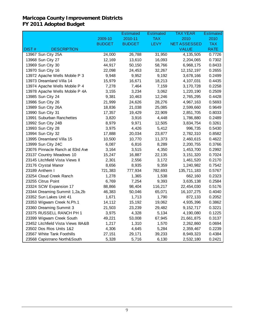|                                     |               | <b>Estimated</b> | <b>Estimated</b> | <b>TAX YEAR</b>     | <b>Estimated</b> |
|-------------------------------------|---------------|------------------|------------------|---------------------|------------------|
|                                     | 2009-10       | 2010-11          | <b>TAX</b>       | 2010                | 2010             |
|                                     | <b>BUDGET</b> | <b>BUDGET</b>    | <b>LEVY</b>      | <b>NET ASSESSED</b> | <b>TAX</b>       |
| <b>DIST#</b><br><b>DESCRIPTION</b>  |               |                  |                  | <b>VALUE</b>        | <b>RATE</b>      |
| 13967 Sun City 25A                  | 24,000        | 26,788           | 31,950           | 4,135,505           | 0.7726           |
| 13968 Sun City 27                   | 12,169        | 13,610           | 16,093           | 2,204,065           | 0.7302           |
| 13969 Sun City 30                   | 44,917        | 50,150           | 58,766           | 6,968,175           | 0.8433           |
| 13970 Sun City 16                   | 22,098        | 24,453           | 32,267           | 12, 152, 197        | 0.2655           |
| 13972 Apache Wells Mobile P 3       | 9,948         | 9,952            | 9,192            | 3,678,166           | 0.2499           |
| 13973 Dreamland Villa 14            | 15,979        | 16,671           | 18,213           | 4,107,031           | 0.4435           |
| 13974 Apache Wells Mobile P 4       | 7,278         | 7,464            | 7,159            | 3,170,728           | 0.2258           |
| 13978 Apache Wells Mobile P 4A      | 3,155         | 3,234            | 3,062            | 1,220,190           | 0.2509           |
| 13985 Sun City 24                   | 9,381         | 10,463           | 12,246           | 2,765,295           | 0.4428           |
| 13986 Sun City 26                   | 21,999        | 24,626           | 28,276           | 4,967,163           | 0.5693           |
| 13989 Sun City 26A                  | 18,836        | 21,038           | 25,085           | 2,599,660           | 0.9649           |
| 13990 Sun City 31                   | 17,357        | 19,429           | 22,909           | 2,851,705           | 0.8033           |
| 13991 Suburban Ranchettes           | 3,820         | 3,916            | 4,448            | 1,786,880           | 0.2489           |
| 13992 Sun City 24B                  | 8,979         | 9,971            | 12,505           | 3,834,754           | 0.3261           |
| 13993 Sun City 28                   | 3,975         | 4,426            | 5,412            | 996,735             | 0.5430           |
| 13994 Sun City 32                   | 17,888        | 20,034           | 23,877           | 2,782,310           | 0.8582           |
| 13995 Dreamland Villa 15            | 10,500        | 10,770           | 11,373           | 2,460,615           | 0.4622           |
| 13999 Sun City 24C                  | 6,087         | 6,816            | 8,289            | 2,200,755           | 0.3766           |
| 23076 Pinnacle Ranch at 83rd Ave    | 3,164         | 3,515            | 4,350            | 1,453,700           | 0.2992           |
| 23137 Country Meadows 10            | 15,247        | 16,887           | 22,135           | 3,151,320           | 0.7024           |
| 23145 Litchfield Vista Views II     | 2,301         | 2,556            | 3,172            | 1,461,520           | 0.2170           |
| 23176 Crystal Manor                 | 8,656         | 8,935            | 9,359            | 1,240,982           | 0.7542           |
| 23189 Anthem I                      | 721,383       | 777,934          | 782,693          | 135,711,183         | 0.5767           |
| 23254 Cloud Creek Ranch             | 1,278         | 1,365            | 1,538            | 662,160             | 0.2323           |
| 23255 Citrus Point                  | 6,769         | 7,254            | 9,393            | 3,635,138           | 0.2584           |
| 23324 SCW Expansion 17              | 88,866        | 98,404           | 116,217          | 22,454,030          | 0.5176           |
| 23344 Dreaming Summit 1,2a,2b       | 46,383        | 50,046           | 65,071           | 16, 107, 275        | 0.4040           |
| 23352 Sun Lakes Unit 41             | 1,671         | 1,713            | 1,790            | 872,133             | 0.2052           |
| 23353 Wigwam Creek N.Ph.1           | 14,112        | 15,192           | 19,062           | 4,935,396           | 0.3862           |
| 23360 Dreaming Summit 3             | 21,503        | 23,239           | 29,482           | 9,152,717           | 0.3221           |
| 23375 RUSSELL RANCH PH 1            | 3,975         | 4,328            | 5,134            | 4,190,080           | 0.1225           |
| 23399 Wigwam Creek South            | 49,221        | 53,008           | 67,945           | 21,661,875          | 0.3137           |
| 23452 Litchfield Vista Views IIIA&B | 1,217         | 1,310            | 1,570            | 2,262,860           | 0.0694           |
| 23502 Dos Rios Units 1&2            | 4,306         | 4,645            | 5,284            | 2,359,467           | 0.2239           |
| 23567 White Tank Foothills          | 27,151        | 29,171           | 39,233           | 8,949,323           | 0.4384           |
| 23568 Capistrano North&South        | 5,328         | 5,716            | 6,130            | 2,532,180           | 0.2421           |